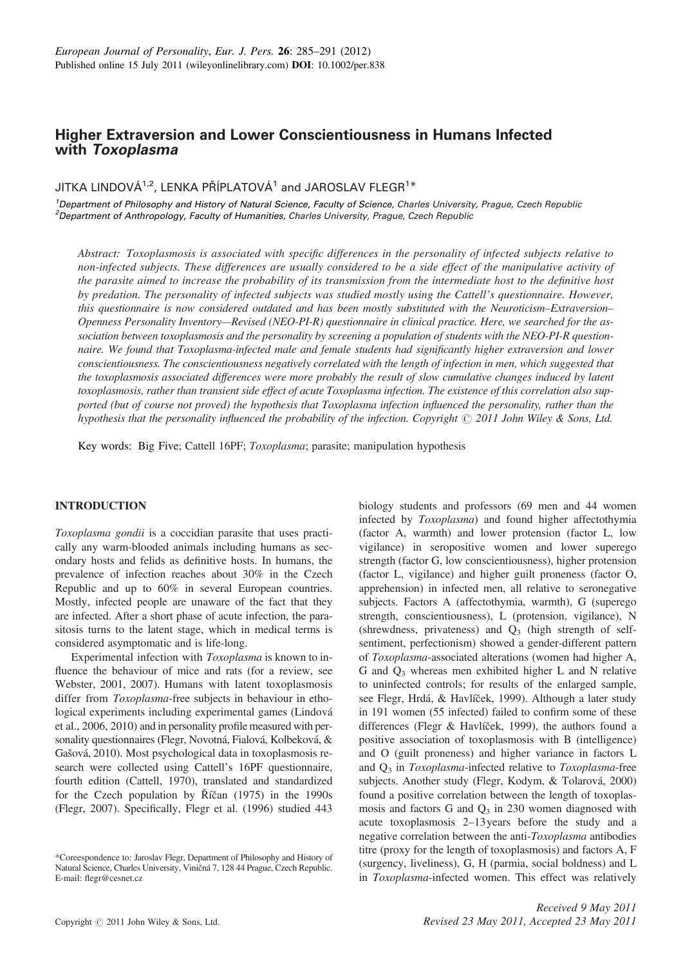### Higher Extraversion and Lower Conscientiousness in Humans Infected with Toxoplasma

JITKA LINDOVÁ<sup>1,2</sup>, LENKA PŘÍPLATOVÁ<sup>1</sup> and JAROSLAV FLEGR<sup>1\*</sup>

<sup>1</sup>Department of Philosophy and History of Natural Science, Faculty of Science, Charles University, Prague, Czech Republic<br><sup>2</sup>Department of Anthropology, Faculty of Humanities, Charles University, Prague, Czech Bepublic  $2D$ epartment of Anthropology, Faculty of Humanities, Charles University, Prague, Czech Republic

Abstract: Toxoplasmosis is associated with specific differences in the personality of infected subjects relative to non-infected subjects. These differences are usually considered to be a side effect of the manipulative activity of the parasite aimed to increase the probability of its transmission from the intermediate host to the definitive host by predation. The personality of infected subjects was studied mostly using the Cattell's questionnaire. However, this questionnaire is now considered outdated and has been mostly substituted with the Neuroticism–Extraversion– Openness Personality Inventory—Revised (NEO-PI-R) questionnaire in clinical practice. Here, we searched for the association between toxoplasmosis and the personality by screening a population of students with the NEO-PI-R questionnaire. We found that Toxoplasma-infected male and female students had significantly higher extraversion and lower conscientiousness. The conscientiousness negatively correlated with the length of infection in men, which suggested that the toxoplasmosis associated differences were more probably the result of slow cumulative changes induced by latent toxoplasmosis, rather than transient side effect of acute Toxoplasma infection. The existence of this correlation also supported (but of course not proved) the hypothesis that Toxoplasma infection influenced the personality, rather than the hypothesis that the personality influenced the probability of the infection. Copyright  $\odot$  2011 John Wiley & Sons, Ltd.

Key words: Big Five; Cattell 16PF; Toxoplasma; parasite; manipulation hypothesis

## **INTRODUCTION**

Toxoplasma gondii is a coccidian parasite that uses practically any warm-blooded animals including humans as secondary hosts and felids as definitive hosts. In humans, the prevalence of infection reaches about 30% in the Czech Republic and up to 60% in several European countries. Mostly, infected people are unaware of the fact that they are infected. After a short phase of acute infection, the parasitosis turns to the latent stage, which in medical terms is considered asymptomatic and is life-long.

Experimental infection with Toxoplasma is known to influence the behaviour of mice and rats (for a review, see Webster, 2001, 2007). Humans with latent toxoplasmosis differ from *Toxoplasma*-free subjects in behaviour in ethological experiments including experimental games (Lindová et al., 2006, 2010) and in personality profile measured with personality questionnaires (Flegr, Novotná, Fialová, Kolbeková, & Gašová, 2010). Most psychological data in toxoplasmosis research were collected using Cattell's 16PF questionnaire, fourth edition (Cattell, 1970), translated and standardized for the Czech population by Říčan (1975) in the 1990s (Flegr, 2007). Specifically, Flegr et al. (1996) studied 443 biology students and professors (69 men and 44 women infected by Toxoplasma) and found higher affectothymia (factor A, warmth) and lower protension (factor L, low vigilance) in seropositive women and lower superego strength (factor G, low conscientiousness), higher protension (factor L, vigilance) and higher guilt proneness (factor O, apprehension) in infected men, all relative to seronegative subjects. Factors A (affectothymia, warmth), G (superego strength, conscientiousness), L (protension, vigilance), N (shrewdness, privateness) and  $Q_3$  (high strength of selfsentiment, perfectionism) showed a gender-different pattern of Toxoplasma-associated alterations (women had higher A, G and  $Q_3$  whereas men exhibited higher L and N relative to uninfected controls; for results of the enlarged sample, see Flegr, Hrdá, & Havlíček, 1999). Although a later study in 191 women (55 infected) failed to confirm some of these differences (Flegr & Havlíček, 1999), the authors found a positive association of toxoplasmosis with B (intelligence) and O (guilt proneness) and higher variance in factors L and  $Q_3$  in *Toxoplasma*-infected relative to *Toxoplasma*-free subjects. Another study (Flegr, Kodym, & Tolarová, 2000) found a positive correlation between the length of toxoplasmosis and factors G and  $Q_3$  in 230 women diagnosed with acute toxoplasmosis 2–13years before the study and a negative correlation between the anti-Toxoplasma antibodies titre (proxy for the length of toxoplasmosis) and factors A, F (surgency, liveliness), G, H (parmia, social boldness) and L in Toxoplasma-infected women. This effect was relatively

<sup>\*</sup>Coreespondence to: Jaroslav Flegr, Department of Philosophy and History of Natural Science, Charles University, Viničná 7, 128 44 Prague, Czech Republic. E-mail: flegr@cesnet.cz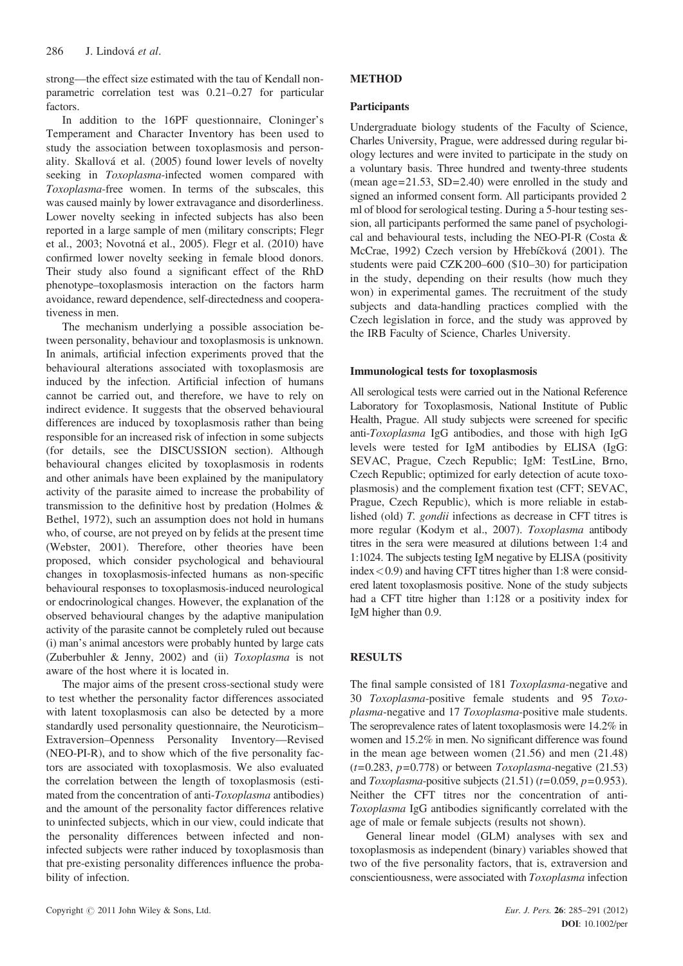strong—the effect size estimated with the tau of Kendall nonparametric correlation test was 0.21–0.27 for particular factors.

In addition to the 16PF questionnaire, Cloninger's Temperament and Character Inventory has been used to study the association between toxoplasmosis and personality. Skallová et al. (2005) found lower levels of novelty seeking in Toxoplasma-infected women compared with Toxoplasma-free women. In terms of the subscales, this was caused mainly by lower extravagance and disorderliness. Lower novelty seeking in infected subjects has also been reported in a large sample of men (military conscripts; Flegr et al., 2003; Novotná et al., 2005). Flegr et al. (2010) have confirmed lower novelty seeking in female blood donors. Their study also found a significant effect of the RhD phenotype–toxoplasmosis interaction on the factors harm avoidance, reward dependence, self-directedness and cooperativeness in men.

The mechanism underlying a possible association between personality, behaviour and toxoplasmosis is unknown. In animals, artificial infection experiments proved that the behavioural alterations associated with toxoplasmosis are induced by the infection. Artificial infection of humans cannot be carried out, and therefore, we have to rely on indirect evidence. It suggests that the observed behavioural differences are induced by toxoplasmosis rather than being responsible for an increased risk of infection in some subjects (for details, see the DISCUSSION section). Although behavioural changes elicited by toxoplasmosis in rodents and other animals have been explained by the manipulatory activity of the parasite aimed to increase the probability of transmission to the definitive host by predation (Holmes & Bethel, 1972), such an assumption does not hold in humans who, of course, are not preyed on by felids at the present time (Webster, 2001). Therefore, other theories have been proposed, which consider psychological and behavioural changes in toxoplasmosis-infected humans as non-specific behavioural responses to toxoplasmosis-induced neurological or endocrinological changes. However, the explanation of the observed behavioural changes by the adaptive manipulation activity of the parasite cannot be completely ruled out because (i) man's animal ancestors were probably hunted by large cats (Zuberbuhler & Jenny, 2002) and (ii) Toxoplasma is not aware of the host where it is located in.

The major aims of the present cross-sectional study were to test whether the personality factor differences associated with latent toxoplasmosis can also be detected by a more standardly used personality questionnaire, the Neuroticism– Extraversion–Openness Personality Inventory—Revised (NEO-PI-R), and to show which of the five personality factors are associated with toxoplasmosis. We also evaluated the correlation between the length of toxoplasmosis (estimated from the concentration of anti-Toxoplasma antibodies) and the amount of the personality factor differences relative to uninfected subjects, which in our view, could indicate that the personality differences between infected and noninfected subjects were rather induced by toxoplasmosis than that pre-existing personality differences influence the probability of infection.

#### **METHOD** METHOD

### Participants

Undergraduate biology students of the Faculty of Science, Charles University, Prague, were addressed during regular biology lectures and were invited to participate in the study on a voluntary basis. Three hundred and twenty-three students (mean age=21.53, SD=2.40) were enrolled in the study and signed an informed consent form. All participants provided 2 ml of blood for serological testing. During a 5-hour testing session, all participants performed the same panel of psychological and behavioural tests, including the NEO-PI-R (Costa & McCrae, 1992) Czech version by Hřebíčková (2001). The students were paid CZK200–600 (\$10–30) for participation in the study, depending on their results (how much they won) in experimental games. The recruitment of the study subjects and data-handling practices complied with the Czech legislation in force, and the study was approved by the IRB Faculty of Science, Charles University.

### Immunological tests for toxoplasmosis

All serological tests were carried out in the National Reference Laboratory for Toxoplasmosis, National Institute of Public Health, Prague. All study subjects were screened for specific anti-Toxoplasma IgG antibodies, and those with high IgG levels were tested for IgM antibodies by ELISA (IgG: SEVAC, Prague, Czech Republic; IgM: TestLine, Brno, Czech Republic; optimized for early detection of acute toxoplasmosis) and the complement fixation test (CFT; SEVAC, Prague, Czech Republic), which is more reliable in established (old) T. gondii infections as decrease in CFT titres is more regular (Kodym et al., 2007). Toxoplasma antibody titres in the sera were measured at dilutions between 1:4 and 1:1024. The subjects testing IgM negative by ELISA (positivity  $index < 0.9$  and having CFT titres higher than 1:8 were considered latent toxoplasmosis positive. None of the study subjects had a CFT titre higher than 1:128 or a positivity index for IgM higher than 0.9.

# $\overline{\phantom{0}}$

The final sample consisted of 181 Toxoplasma-negative and 30 Toxoplasma-positive female students and 95 Toxoplasma-negative and 17 Toxoplasma-positive male students. The seroprevalence rates of latent toxoplasmosis were 14.2% in women and 15.2% in men. No significant difference was found in the mean age between women (21.56) and men (21.48)  $(t=0.283, p=0.778)$  or between *Toxoplasma*-negative (21.53) and Toxoplasma-positive subjects  $(21.51)$   $(t=0.059, p=0.953)$ . Neither the CFT titres nor the concentration of anti-Toxoplasma IgG antibodies significantly correlated with the age of male or female subjects (results not shown).

General linear model (GLM) analyses with sex and toxoplasmosis as independent (binary) variables showed that two of the five personality factors, that is, extraversion and conscientiousness, were associated with Toxoplasma infection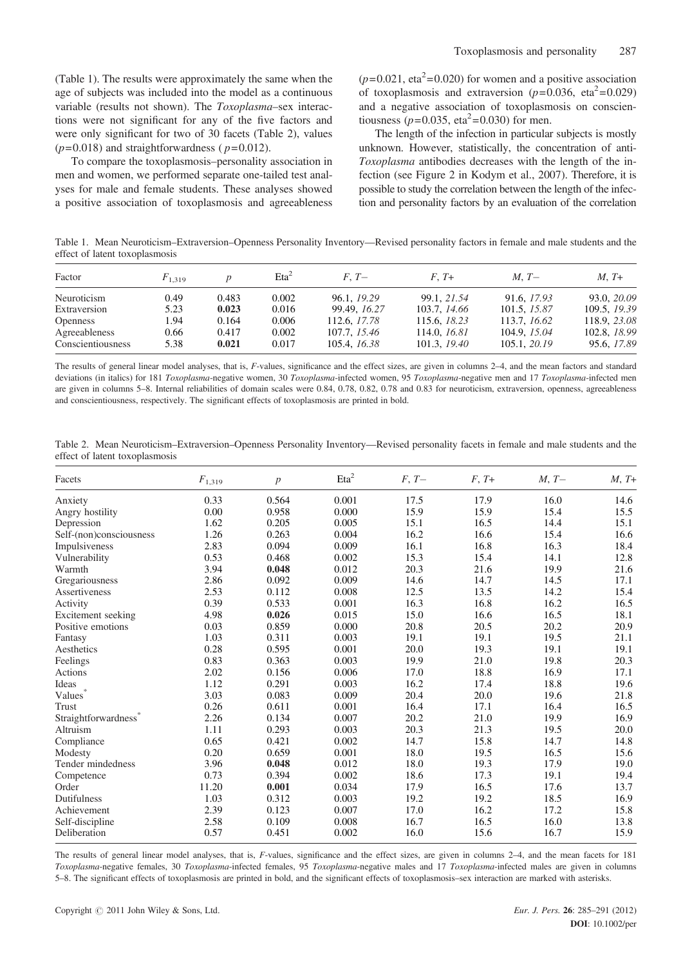(Table 1). The results were approximately the same when the age of subjects was included into the model as a continuous variable (results not shown). The Toxoplasma–sex interactions were not significant for any of the five factors and were only significant for two of 30 facets (Table 2), values  $(p=0.018)$  and straightforwardness ( $p=0.012$ ).

To compare the toxoplasmosis–personality association in men and women, we performed separate one-tailed test analyses for male and female students. These analyses showed a positive association of toxoplasmosis and agreeableness

 $(p=0.021, \text{ eta}^2=0.020)$  for women and a positive association of toxoplasmosis and extraversion ( $p=0.036$ , eta<sup>2</sup>=0.029) and a negative association of toxoplasmosis on conscientiousness ( $p=0.035$ , eta<sup>2</sup>=0.030) for men.

The length of the infection in particular subjects is mostly unknown. However, statistically, the concentration of anti-Toxoplasma antibodies decreases with the length of the infection (see Figure 2 in Kodym et al., 2007). Therefore, it is possible to study the correlation between the length of the infection and personality factors by an evaluation of the correlation

Table 1. Mean Neuroticism–Extraversion–Openness Personality Inventory—Revised personality factors in female and male students and the effect of latent toxoplasmosis

| Factor            | $F_{1,319}$ |       | $Eta^2$ | $F. T-$      | $F, T+$      | $M. T-$      | $M, T+$      |
|-------------------|-------------|-------|---------|--------------|--------------|--------------|--------------|
| Neuroticism       | 0.49        | 0.483 | 0.002   | 96.1, 19.29  | 99.1, 21.54  | 91.6, 17.93  | 93.0, 20.09  |
| Extraversion      | 5.23        | 0.023 | 0.016   | 99.49, 16.27 | 103.7, 14.66 | 101.5, 15.87 | 109.5, 19.39 |
| <b>Openness</b>   | 1.94        | 0.164 | 0.006   | 112.6, 17.78 | 115.6, 18.23 | 113.7, 16.62 | 118.9, 23.08 |
| Agreeableness     | 0.66        | 0.417 | 0.002   | 107.7, 15.46 | 114.0. 16.81 | 104.9, 15.04 | 102.8, 18.99 |
| Conscientiousness | 5.38        | 0.021 | 0.017   | 105.4, 16.38 | 101.3. 19.40 | 105.1, 20.19 | 95.6, 17.89  |

The results of general linear model analyses, that is, F-values, significance and the effect sizes, are given in columns 2–4, and the mean factors and standard deviations (in italics) for 181 Toxoplasma-negative women, 30 Toxoplasma-infected women, 95 Toxoplasma-negative men and 17 Toxoplasma-infected men are given in columns 5–8. Internal reliabilities of domain scales were 0.84, 0.78, 0.82, 0.78 and 0.83 for neuroticism, extraversion, openness, agreeableness and conscientiousness, respectively. The significant effects of toxoplasmosis are printed in bold.

Table 2. Mean Neuroticism–Extraversion–Openness Personality Inventory—Revised personality facets in female and male students and the effect of latent toxoplasmosis

| Facets                           | $F_{1,319}$ | p     | $Eta^2$ | $F, T-$ | $F, T+$ | $M, T-$ | $M, T+$ |
|----------------------------------|-------------|-------|---------|---------|---------|---------|---------|
| Anxiety                          | 0.33        | 0.564 | 0.001   | 17.5    | 17.9    | 16.0    | 14.6    |
| Angry hostility                  | 0.00        | 0.958 | 0.000   | 15.9    | 15.9    | 15.4    | 15.5    |
| Depression                       | 1.62        | 0.205 | 0.005   | 15.1    | 16.5    | 14.4    | 15.1    |
| Self-(non)consciousness          | 1.26        | 0.263 | 0.004   | 16.2    | 16.6    | 15.4    | 16.6    |
| Impulsiveness                    | 2.83        | 0.094 | 0.009   | 16.1    | 16.8    | 16.3    | 18.4    |
| Vulnerability                    | 0.53        | 0.468 | 0.002   | 15.3    | 15.4    | 14.1    | 12.8    |
| Warmth                           | 3.94        | 0.048 | 0.012   | 20.3    | 21.6    | 19.9    | 21.6    |
| Gregariousness                   | 2.86        | 0.092 | 0.009   | 14.6    | 14.7    | 14.5    | 17.1    |
| Assertiveness                    | 2.53        | 0.112 | 0.008   | 12.5    | 13.5    | 14.2    | 15.4    |
| Activity                         | 0.39        | 0.533 | 0.001   | 16.3    | 16.8    | 16.2    | 16.5    |
| Excitement seeking               | 4.98        | 0.026 | 0.015   | 15.0    | 16.6    | 16.5    | 18.1    |
| Positive emotions                | 0.03        | 0.859 | 0.000   | 20.8    | 20.5    | 20.2    | 20.9    |
| Fantasy                          | 1.03        | 0.311 | 0.003   | 19.1    | 19.1    | 19.5    | 21.1    |
| Aesthetics                       | 0.28        | 0.595 | 0.001   | 20.0    | 19.3    | 19.1    | 19.1    |
| Feelings                         | 0.83        | 0.363 | 0.003   | 19.9    | 21.0    | 19.8    | 20.3    |
| Actions                          | 2.02        | 0.156 | 0.006   | 17.0    | 18.8    | 16.9    | 17.1    |
| Ideas                            | 1.12        | 0.291 | 0.003   | 16.2    | 17.4    | 18.8    | 19.6    |
| Values                           | 3.03        | 0.083 | 0.009   | 20.4    | 20.0    | 19.6    | 21.8    |
| Trust                            | 0.26        | 0.611 | 0.001   | 16.4    | 17.1    | 16.4    | 16.5    |
| Straightforwardness <sup>7</sup> | 2.26        | 0.134 | 0.007   | 20.2    | 21.0    | 19.9    | 16.9    |
| Altruism                         | 1.11        | 0.293 | 0.003   | 20.3    | 21.3    | 19.5    | 20.0    |
| Compliance                       | 0.65        | 0.421 | 0.002   | 14.7    | 15.8    | 14.7    | 14.8    |
| Modesty                          | 0.20        | 0.659 | 0.001   | 18.0    | 19.5    | 16.5    | 15.6    |
| Tender mindedness                | 3.96        | 0.048 | 0.012   | 18.0    | 19.3    | 17.9    | 19.0    |
| Competence                       | 0.73        | 0.394 | 0.002   | 18.6    | 17.3    | 19.1    | 19.4    |
| Order                            | 11.20       | 0.001 | 0.034   | 17.9    | 16.5    | 17.6    | 13.7    |
| Dutifulness                      | 1.03        | 0.312 | 0.003   | 19.2    | 19.2    | 18.5    | 16.9    |
| Achievement                      | 2.39        | 0.123 | 0.007   | 17.0    | 16.2    | 17.2    | 15.8    |
| Self-discipline                  | 2.58        | 0.109 | 0.008   | 16.7    | 16.5    | 16.0    | 13.8    |
| Deliberation                     | 0.57        | 0.451 | 0.002   | 16.0    | 15.6    | 16.7    | 15.9    |

The results of general linear model analyses, that is, F-values, significance and the effect sizes, are given in columns 2–4, and the mean facets for 181 Toxoplasma-negative females, 30 Toxoplasma-infected females, 95 Toxoplasma-negative males and 17 Toxoplasma-infected males are given in columns 5–8. The significant effects of toxoplasmosis are printed in bold, and the significant effects of toxoplasmosis–sex interaction are marked with asterisks.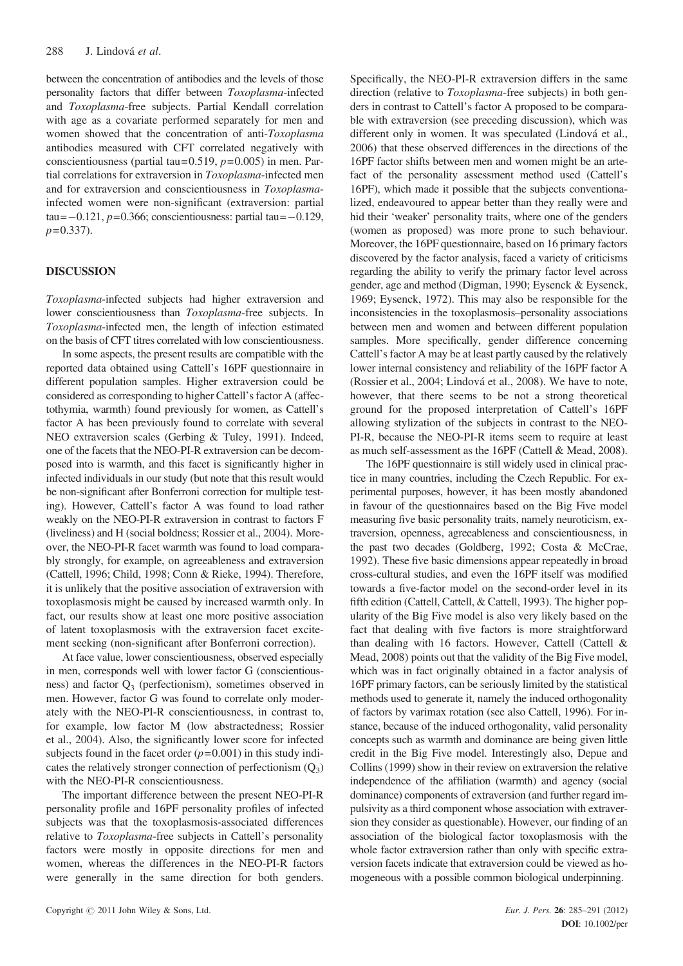between the concentration of antibodies and the levels of those personality factors that differ between Toxoplasma-infected and Toxoplasma-free subjects. Partial Kendall correlation with age as a covariate performed separately for men and women showed that the concentration of anti-Toxoplasma antibodies measured with CFT correlated negatively with conscientiousness (partial tau=0.519,  $p=0.005$ ) in men. Partial correlations for extraversion in Toxoplasma-infected men and for extraversion and conscientiousness in Toxoplasmainfected women were non-significant (extraversion: partial tau= $-0.121$ ,  $p=0.366$ ; conscientiousness: partial tau= $-0.129$ ,  $p=0.337$ ).

#### **DISCUSSION** DISCUSSION

Toxoplasma-infected subjects had higher extraversion and lower conscientiousness than Toxoplasma-free subjects. In Toxoplasma-infected men, the length of infection estimated on the basis of CFT titres correlated with low conscientiousness.

In some aspects, the present results are compatible with the reported data obtained using Cattell's 16PF questionnaire in different population samples. Higher extraversion could be considered as corresponding to higher Cattell's factor A (affectothymia, warmth) found previously for women, as Cattell's factor A has been previously found to correlate with several NEO extraversion scales (Gerbing & Tuley, 1991). Indeed, one of the facets that the NEO-PI-R extraversion can be decomposed into is warmth, and this facet is significantly higher in infected individuals in our study (but note that this result would be non-significant after Bonferroni correction for multiple testing). However, Cattell's factor A was found to load rather weakly on the NEO-PI-R extraversion in contrast to factors F (liveliness) and H (social boldness; Rossier et al., 2004). Moreover, the NEO-PI-R facet warmth was found to load comparably strongly, for example, on agreeableness and extraversion (Cattell, 1996; Child, 1998; Conn & Rieke, 1994). Therefore, it is unlikely that the positive association of extraversion with toxoplasmosis might be caused by increased warmth only. In fact, our results show at least one more positive association of latent toxoplasmosis with the extraversion facet excitement seeking (non-significant after Bonferroni correction).

At face value, lower conscientiousness, observed especially in men, corresponds well with lower factor G (conscientiousness) and factor  $Q_3$  (perfectionism), sometimes observed in men. However, factor G was found to correlate only moderately with the NEO-PI-R conscientiousness, in contrast to, for example, low factor M (low abstractedness; Rossier et al., 2004). Also, the significantly lower score for infected subjects found in the facet order  $(p=0.001)$  in this study indicates the relatively stronger connection of perfectionism  $(Q_3)$ with the NEO-PI-R conscientiousness.

The important difference between the present NEO-PI-R personality profile and 16PF personality profiles of infected subjects was that the toxoplasmosis-associated differences relative to Toxoplasma-free subjects in Cattell's personality factors were mostly in opposite directions for men and women, whereas the differences in the NEO-PI-R factors were generally in the same direction for both genders.

Specifically, the NEO-PI-R extraversion differs in the same direction (relative to *Toxoplasma*-free subjects) in both genders in contrast to Cattell's factor A proposed to be comparable with extraversion (see preceding discussion), which was different only in women. It was speculated (Lindová et al., 2006) that these observed differences in the directions of the 16PF factor shifts between men and women might be an artefact of the personality assessment method used (Cattell's 16PF), which made it possible that the subjects conventionalized, endeavoured to appear better than they really were and hid their 'weaker' personality traits, where one of the genders (women as proposed) was more prone to such behaviour. Moreover, the 16PF questionnaire, based on 16 primary factors discovered by the factor analysis, faced a variety of criticisms regarding the ability to verify the primary factor level across gender, age and method (Digman, 1990; Eysenck & Eysenck, 1969; Eysenck, 1972). This may also be responsible for the inconsistencies in the toxoplasmosis–personality associations between men and women and between different population samples. More specifically, gender difference concerning Cattell's factor A may be at least partly caused by the relatively lower internal consistency and reliability of the 16PF factor A (Rossier et al., 2004; Lindová et al., 2008). We have to note, however, that there seems to be not a strong theoretical ground for the proposed interpretation of Cattell's 16PF allowing stylization of the subjects in contrast to the NEO-PI-R, because the NEO-PI-R items seem to require at least as much self-assessment as the 16PF (Cattell & Mead, 2008).

The 16PF questionnaire is still widely used in clinical practice in many countries, including the Czech Republic. For experimental purposes, however, it has been mostly abandoned in favour of the questionnaires based on the Big Five model measuring five basic personality traits, namely neuroticism, extraversion, openness, agreeableness and conscientiousness, in the past two decades (Goldberg, 1992; Costa & McCrae, 1992). These five basic dimensions appear repeatedly in broad cross-cultural studies, and even the 16PF itself was modified towards a five-factor model on the second-order level in its fifth edition (Cattell, Cattell, & Cattell, 1993). The higher popularity of the Big Five model is also very likely based on the fact that dealing with five factors is more straightforward than dealing with 16 factors. However, Cattell (Cattell & Mead, 2008) points out that the validity of the Big Five model, which was in fact originally obtained in a factor analysis of 16PF primary factors, can be seriously limited by the statistical methods used to generate it, namely the induced orthogonality of factors by varimax rotation (see also Cattell, 1996). For instance, because of the induced orthogonality, valid personality concepts such as warmth and dominance are being given little credit in the Big Five model. Interestingly also, Depue and Collins (1999) show in their review on extraversion the relative independence of the affiliation (warmth) and agency (social dominance) components of extraversion (and further regard impulsivity as a third component whose association with extraversion they consider as questionable). However, our finding of an association of the biological factor toxoplasmosis with the whole factor extraversion rather than only with specific extraversion facets indicate that extraversion could be viewed as homogeneous with a possible common biological underpinning.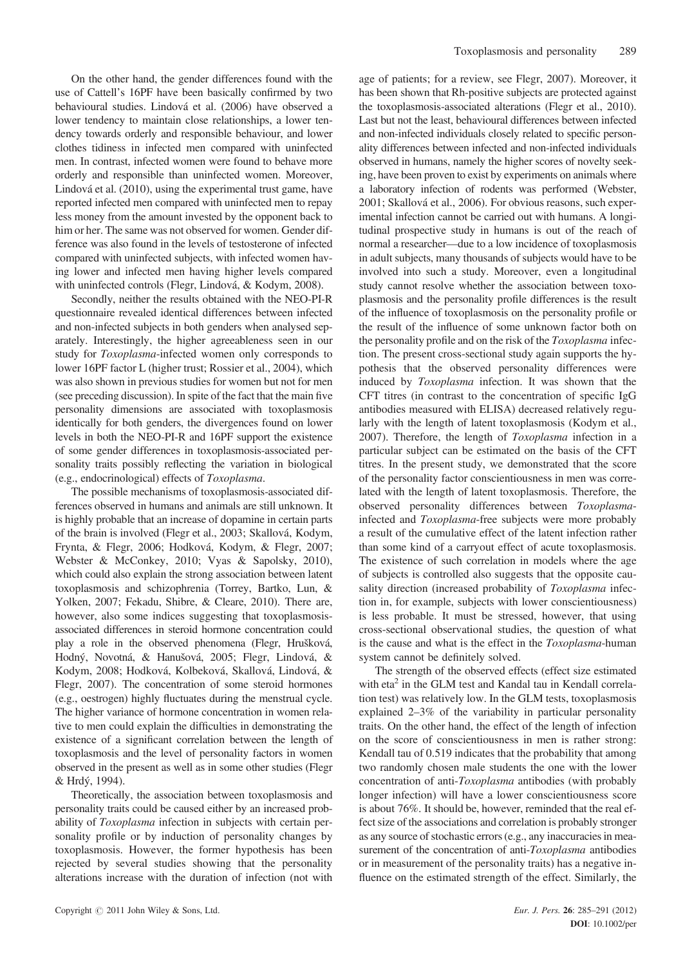On the other hand, the gender differences found with the use of Cattell's 16PF have been basically confirmed by two behavioural studies. Lindová et al. (2006) have observed a lower tendency to maintain close relationships, a lower tendency towards orderly and responsible behaviour, and lower clothes tidiness in infected men compared with uninfected men. In contrast, infected women were found to behave more orderly and responsible than uninfected women. Moreover, Lindová et al. (2010), using the experimental trust game, have reported infected men compared with uninfected men to repay less money from the amount invested by the opponent back to him or her. The same was not observed for women. Gender difference was also found in the levels of testosterone of infected compared with uninfected subjects, with infected women having lower and infected men having higher levels compared with uninfected controls (Flegr, Lindová, & Kodym, 2008).

Secondly, neither the results obtained with the NEO-PI-R questionnaire revealed identical differences between infected and non-infected subjects in both genders when analysed separately. Interestingly, the higher agreeableness seen in our study for Toxoplasma-infected women only corresponds to lower 16PF factor L (higher trust; Rossier et al., 2004), which was also shown in previous studies for women but not for men (see preceding discussion). In spite of the fact that the main five personality dimensions are associated with toxoplasmosis identically for both genders, the divergences found on lower levels in both the NEO-PI-R and 16PF support the existence of some gender differences in toxoplasmosis-associated personality traits possibly reflecting the variation in biological (e.g., endocrinological) effects of Toxoplasma.

The possible mechanisms of toxoplasmosis-associated differences observed in humans and animals are still unknown. It is highly probable that an increase of dopamine in certain parts of the brain is involved (Flegr et al., 2003; Skallová, Kodym, Frynta, & Flegr, 2006; Hodková, Kodym, & Flegr, 2007; Webster & McConkey, 2010; Vyas & Sapolsky, 2010), which could also explain the strong association between latent toxoplasmosis and schizophrenia (Torrey, Bartko, Lun, & Yolken, 2007; Fekadu, Shibre, & Cleare, 2010). There are, however, also some indices suggesting that toxoplasmosisassociated differences in steroid hormone concentration could play a role in the observed phenomena (Flegr, Hrušková, Hodný, Novotná, & Hanušová, 2005; Flegr, Lindová, & Kodym, 2008; Hodková, Kolbeková, Skallová, Lindová, & Flegr, 2007). The concentration of some steroid hormones (e.g., oestrogen) highly fluctuates during the menstrual cycle. The higher variance of hormone concentration in women relative to men could explain the difficulties in demonstrating the existence of a significant correlation between the length of toxoplasmosis and the level of personality factors in women observed in the present as well as in some other studies (Flegr & Hrdý, 1994).

Theoretically, the association between toxoplasmosis and personality traits could be caused either by an increased probability of Toxoplasma infection in subjects with certain personality profile or by induction of personality changes by toxoplasmosis. However, the former hypothesis has been rejected by several studies showing that the personality alterations increase with the duration of infection (not with

age of patients; for a review, see Flegr, 2007). Moreover, it has been shown that Rh-positive subjects are protected against the toxoplasmosis-associated alterations (Flegr et al., 2010). Last but not the least, behavioural differences between infected and non-infected individuals closely related to specific personality differences between infected and non-infected individuals observed in humans, namely the higher scores of novelty seeking, have been proven to exist by experiments on animals where a laboratory infection of rodents was performed (Webster, 2001; Skallová et al., 2006). For obvious reasons, such experimental infection cannot be carried out with humans. A longitudinal prospective study in humans is out of the reach of normal a researcher—due to a low incidence of toxoplasmosis in adult subjects, many thousands of subjects would have to be involved into such a study. Moreover, even a longitudinal study cannot resolve whether the association between toxoplasmosis and the personality profile differences is the result of the influence of toxoplasmosis on the personality profile or the result of the influence of some unknown factor both on the personality profile and on the risk of the Toxoplasma infection. The present cross-sectional study again supports the hypothesis that the observed personality differences were induced by Toxoplasma infection. It was shown that the CFT titres (in contrast to the concentration of specific IgG antibodies measured with ELISA) decreased relatively regularly with the length of latent toxoplasmosis (Kodym et al., 2007). Therefore, the length of Toxoplasma infection in a particular subject can be estimated on the basis of the CFT titres. In the present study, we demonstrated that the score of the personality factor conscientiousness in men was correlated with the length of latent toxoplasmosis. Therefore, the observed personality differences between Toxoplasmainfected and Toxoplasma-free subjects were more probably a result of the cumulative effect of the latent infection rather than some kind of a carryout effect of acute toxoplasmosis. The existence of such correlation in models where the age of subjects is controlled also suggests that the opposite causality direction (increased probability of *Toxoplasma* infection in, for example, subjects with lower conscientiousness) is less probable. It must be stressed, however, that using cross-sectional observational studies, the question of what is the cause and what is the effect in the Toxoplasma-human system cannot be definitely solved.

The strength of the observed effects (effect size estimated with  $eta<sup>2</sup>$  in the GLM test and Kandal tau in Kendall correlation test) was relatively low. In the GLM tests, toxoplasmosis explained 2–3% of the variability in particular personality traits. On the other hand, the effect of the length of infection on the score of conscientiousness in men is rather strong: Kendall tau of 0.519 indicates that the probability that among two randomly chosen male students the one with the lower concentration of anti-Toxoplasma antibodies (with probably longer infection) will have a lower conscientiousness score is about 76%. It should be, however, reminded that the real effect size of the associations and correlation is probably stronger as any source of stochastic errors (e.g., any inaccuracies in measurement of the concentration of anti-*Toxoplasma* antibodies or in measurement of the personality traits) has a negative influence on the estimated strength of the effect. Similarly, the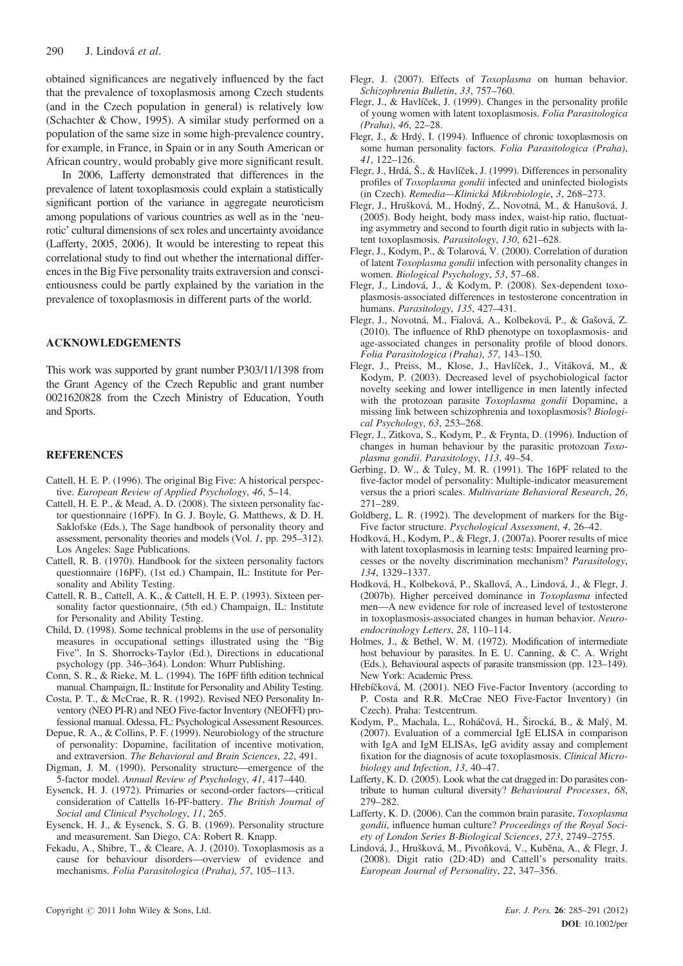obtained significances are negatively influenced by the fact that the prevalence of toxoplasmosis among Czech students (and in the Czech population in general) is relatively low (Schachter & Chow, 1995). A similar study performed on a population of the same size in some high-prevalence country, for example, in France, in Spain or in any South American or African country, would probably give more significant result.

In 2006, Lafferty demonstrated that differences in the prevalence of latent toxoplasmosis could explain a statistically significant portion of the variance in aggregate neuroticism among populations of various countries as well as in the 'neurotic' cultural dimensions of sex roles and uncertainty avoidance (Lafferty, 2005, 2006). It would be interesting to repeat this correlational study to find out whether the international differences in the Big Five personality traits extraversion and conscientiousness could be partly explained by the variation in the prevalence of toxoplasmosis in different parts of the world.

## ACCEPT CHARGE CONTINUES

This work was supported by grant number P303/11/1398 from the Grant Agency of the Czech Republic and grant number 0021620828 from the Czech Ministry of Education, Youth and Sports.

### REFERENCES

- Cattell, H. E. P. (1996). The original Big Five: A historical perspective. European Review of Applied Psychology, 46, 5–14.
- Cattell, H. E. P., & Mead, A. D. (2008). The sixteen personality factor questionnaire (16PF). In G. J. Boyle, G. Matthews, & D. H. Saklofske (Eds.), The Sage handbook of personality theory and assessment, personality theories and models (Vol. 1, pp. 295–312). Los Angeles: Sage Publications.
- Cattell, R. B. (1970). Handbook for the sixteen personality factors questionnaire (16PF), (1st ed.) Champain, IL: Institute for Personality and Ability Testing.
- Cattell, R. B., Cattell, A. K., & Cattell, H. E. P. (1993). Sixteen personality factor questionnaire, (5th ed.) Champaign, IL: Institute for Personality and Ability Testing.
- Child, D. (1998). Some technical problems in the use of personality measures in occupational settings illustrated using the "Big Five". In S. Shorrocks-Taylor (Ed.), Directions in educational psychology (pp. 346–364). London: Whurr Publishing.
- Conn, S. R., & Rieke, M. L. (1994). The 16PF fifth edition technical manual. Champaign, IL: Institute for Personality and Ability Testing.
- Costa, P. T., & McCrae, R. R. (1992). Revised NEO Personality Inventory (NEO PI-R) and NEO Five-factor Inventory (NEOFFI) professional manual. Odessa, FL: Psychological Assessment Resources.
- Depue, R. A., & Collins, P. F. (1999). Neurobiology of the structure of personality: Dopamine, facilitation of incentive motivation, and extraversion. The Behavioral and Brain Sciences, 22, 491.
- Digman, J. M. (1990). Personality structure—emergence of the 5-factor model. Annual Review of Psychology, 41, 417–440.
- Eysenck, H. J. (1972). Primaries or second-order factors—critical consideration of Cattells 16-PF-battery. The British Journal of Social and Clinical Psychology, 11, 265.
- Eysenck, H. J., & Eysenck, S. G. B. (1969). Personality structure and measurement. San Diego, CA: Robert R. Knapp.
- Fekadu, A., Shibre, T., & Cleare, A. J. (2010). Toxoplasmosis as a cause for behaviour disorders—overview of evidence and mechanisms. Folia Parasitologica (Praha), 57, 105–113.
- Flegr, J. (2007). Effects of Toxoplasma on human behavior. Schizophrenia Bulletin, 33, 757–760.
- Flegr, J., & Havlíček, J. (1999). Changes in the personality profile of young women with latent toxoplasmosis. Folia Parasitologica (Praha), 46, 22–28.
- Flegr, J., & Hrdý, I. (1994). Influence of chronic toxoplasmosis on some human personality factors. Folia Parasitologica (Praha), 41, 122–126.
- Flegr, J., Hrdá, Š., & Havlíček, J. (1999). Differences in personality profiles of Toxoplasma gondii infected and uninfected biologists (in Czech). Remedia—Klinická Mikrobiologie, 3, 268–273.
- Flegr, J., Hrušková, M., Hodný, Z., Novotná, M., & Hanušová, J. (2005). Body height, body mass index, waist-hip ratio, fluctuating asymmetry and second to fourth digit ratio in subjects with latent toxoplasmosis. Parasitology, 130, 621–628.
- Flegr, J., Kodym, P., & Tolarová, V. (2000). Correlation of duration of latent Toxoplasma gondii infection with personality changes in women. Biological Psychology, 53, 57–68.
- Flegr, J., Lindová, J., & Kodym, P. (2008). Sex-dependent toxoplasmosis-associated differences in testosterone concentration in humans. Parasitology, 135, 427–431.
- Flegr, J., Novotná, M., Fialová, A., Kolbeková, P., & Gašová, Z. (2010). The influence of RhD phenotype on toxoplasmosis- and age-associated changes in personality profile of blood donors. Folia Parasitologica (Praha), 57, 143–150.
- Flegr, J., Preiss, M., Klose, J., Havlíček, J., Vitáková, M., & Kodym, P. (2003). Decreased level of psychobiological factor novelty seeking and lower intelligence in men latently infected with the protozoan parasite *Toxoplasma gondii* Dopamine, a missing link between schizophrenia and toxoplasmosis? Biological Psychology, 63, 253–268.
- Flegr, J., Zitkova, S., Kodym, P., & Frynta, D. (1996). Induction of changes in human behaviour by the parasitic protozoan Toxoplasma gondii. Parasitology, 113, 49–54.
- Gerbing, D. W., & Tuley, M. R. (1991). The 16PF related to the five-factor model of personality: Multiple-indicator measurement versus the a priori scales. Multivariate Behavioral Research, 26, 271–289.
- Goldberg, L. R. (1992). The development of markers for the Big-Five factor structure. Psychological Assessment, 4, 26–42.
- Hodková, H., Kodym, P., & Flegr, J. (2007a). Poorer results of mice with latent toxoplasmosis in learning tests: Impaired learning processes or the novelty discrimination mechanism? Parasitology, 134, 1329–1337.
- Hodková, H., Kolbeková, P., Skallová, A., Lindová, J., & Flegr, J. (2007b). Higher perceived dominance in Toxoplasma infected men—A new evidence for role of increased level of testosterone in toxoplasmosis-associated changes in human behavior. Neuroendocrinology Letters, 28, 110–114.
- Holmes, J., & Bethel, W. M. (1972). Modification of intermediate host behaviour by parasites. In E. U. Canning, & C. A. Wright (Eds.), Behavioural aspects of parasite transmission (pp. 123–149). New York: Academic Press.
- Hřebíčková, M. (2001). NEO Five-Factor Inventory (according to P. Costa and R.R. McCrae NEO Five-Factor Inventory) (in Czech). Praha: Testcentrum.
- Kodym, P., Machala, L., Roháčová, H., Širocká, B., & Malý, M. (2007). Evaluation of a commercial IgE ELISA in comparison with IgA and IgM ELISAs, IgG avidity assay and complement fixation for the diagnosis of acute toxoplasmosis. Clinical Microbiology and Infection, 13, 40–47.
- Lafferty, K. D. (2005). Look what the cat dragged in: Do parasites contribute to human cultural diversity? Behavioural Processes, 68, 279–282.
- Lafferty, K. D. (2006). Can the common brain parasite, Toxoplasma gondii, influence human culture? Proceedings of the Royal Society of London Series B-Biological Sciences, 273, 2749–2755.
- Lindová, J., Hrušková, M., Pivoňková, V., Kuběna, A., & Flegr, J. (2008). Digit ratio (2D:4D) and Cattell's personality traits. European Journal of Personality, 22, 347–356.